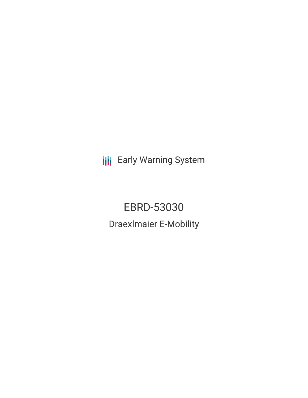**III** Early Warning System

EBRD-53030 Draexlmaier E-Mobility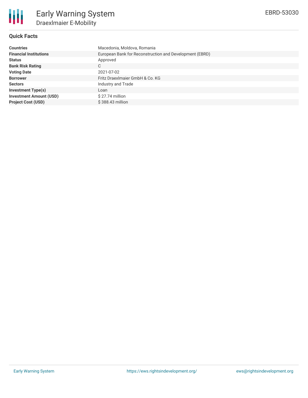

## **Quick Facts**

| <b>Countries</b>               | Macedonia, Moldova, Romania                             |  |  |  |  |
|--------------------------------|---------------------------------------------------------|--|--|--|--|
| <b>Financial Institutions</b>  | European Bank for Reconstruction and Development (EBRD) |  |  |  |  |
| <b>Status</b>                  | Approved                                                |  |  |  |  |
| <b>Bank Risk Rating</b>        | С                                                       |  |  |  |  |
| <b>Voting Date</b>             | 2021-07-02                                              |  |  |  |  |
| <b>Borrower</b>                | Fritz DraexImaier GmbH & Co. KG                         |  |  |  |  |
| <b>Sectors</b>                 | Industry and Trade                                      |  |  |  |  |
| <b>Investment Type(s)</b>      | Loan                                                    |  |  |  |  |
| <b>Investment Amount (USD)</b> | $$27.74$ million                                        |  |  |  |  |
| <b>Project Cost (USD)</b>      | $$388.43$ million                                       |  |  |  |  |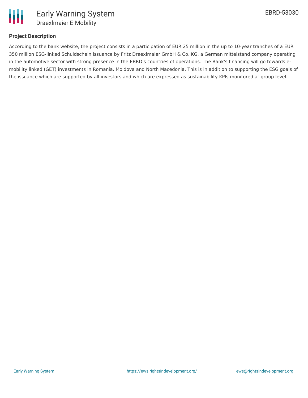

# **Project Description**

According to the bank website, the project consists in a participation of EUR 25 million in the up to 10-year tranches of a EUR 350 million ESG-linked Schuldschein issuance by Fritz Draexlmaier GmbH & Co. KG, a German mittelstand company operating in the automotive sector with strong presence in the EBRD's countries of operations. The Bank's financing will go towards emobility linked (GET) investments in Romania, Moldova and North Macedonia. This is in addition to supporting the ESG goals of the issuance which are supported by all investors and which are expressed as sustainability KPIs monitored at group level.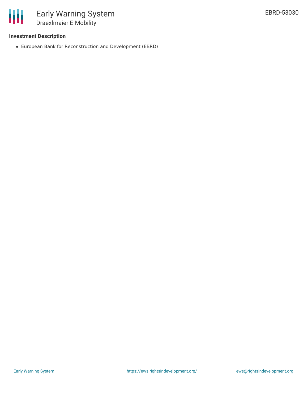

## **Investment Description**

European Bank for Reconstruction and Development (EBRD)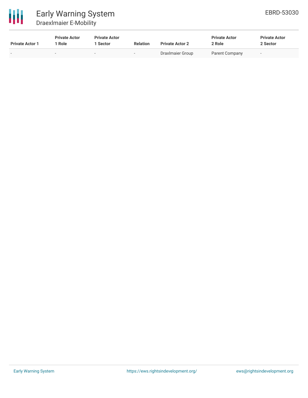

| <b>Private Actor 1</b> | <b>Private Actor</b><br>Role | <b>Private Actor</b><br><b>Sector</b> | <b>Relation</b>          | <b>Private Actor 2</b> | <b>Private Actor</b><br>2 Role | <b>Private Actor</b><br>2 Sector |
|------------------------|------------------------------|---------------------------------------|--------------------------|------------------------|--------------------------------|----------------------------------|
| . .                    | . .                          | $\overline{\phantom{0}}$              | $\overline{\phantom{a}}$ | DraxImaier Group       | Parent Company                 | $\overline{\phantom{a}}$         |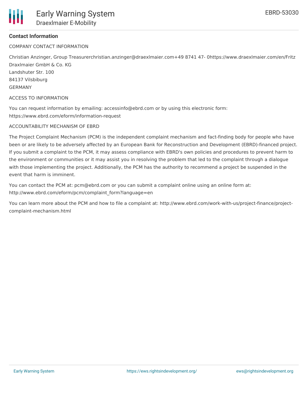

### **Contact Information**

COMPANY CONTACT INFORMATION

Christian Anzinger, Group Treasurerchristian.anzinger@draexlmaier.com+49 8741 47- 0https://www.draexlmaier.com/en/Fritz Draxlmaier GmbH & Co. KG Landshuter Str. 100 84137 Vilsbiburg GERMANY

ACCESS TO INFORMATION

You can request information by emailing: accessinfo@ebrd.com or by using this electronic form: https://www.ebrd.com/eform/information-request

#### ACCOUNTABILITY MECHANISM OF EBRD

The Project Complaint Mechanism (PCM) is the independent complaint mechanism and fact-finding body for people who have been or are likely to be adversely affected by an European Bank for Reconstruction and Development (EBRD)-financed project. If you submit a complaint to the PCM, it may assess compliance with EBRD's own policies and procedures to prevent harm to the environment or communities or it may assist you in resolving the problem that led to the complaint through a dialogue with those implementing the project. Additionally, the PCM has the authority to recommend a project be suspended in the event that harm is imminent.

You can contact the PCM at: pcm@ebrd.com or you can submit a complaint online using an online form at: http://www.ebrd.com/eform/pcm/complaint\_form?language=en

You can learn more about the PCM and how to file a complaint at: http://www.ebrd.com/work-with-us/project-finance/projectcomplaint-mechanism.html